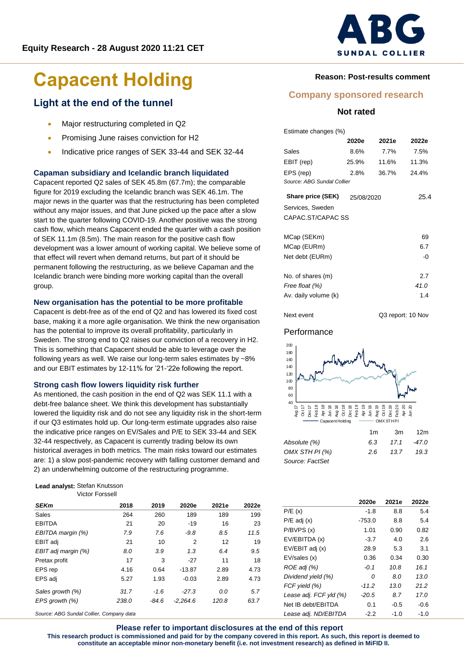# **SUNDAL COLLIER**

# **Capacent Holding** Reason: Post-results comment

## **Light at the end of the tunnel**

- Major restructuring completed in Q2
- Promising June raises conviction for H2
- Indicative price ranges of SEK 33-44 and SEK 32-44

#### **Capaman subsidiary and Icelandic branch liquidated**

Capacent reported Q2 sales of SEK 45.8m (67.7m); the comparable figure for 2019 excluding the Icelandic branch was SEK 46.1m. The major news in the quarter was that the restructuring has been completed without any major issues, and that June picked up the pace after a slow start to the quarter following COVID-19. Another positive was the strong cash flow, which means Capacent ended the quarter with a cash position of SEK 11.1m (8.5m). The main reason for the positive cash flow development was a lower amount of working capital. We believe some of that effect will revert when demand returns, but part of it should be permanent following the restructuring, as we believe Capaman and the Icelandic branch were binding more working capital than the overall group.

#### **New organisation has the potential to be more profitable**

Capacent is debt-free as of the end of Q2 and has lowered its fixed cost base, making it a more agile organisation. We think the new organisation has the potential to improve its overall profitability, particularly in Sweden. The strong end to Q2 raises our conviction of a recovery in H2. This is something that Capacent should be able to leverage over the following years as well. We raise our long-term sales estimates by ~8% and our EBIT estimates by 12-11% for '21-'22e following the report.

#### **Strong cash flow lowers liquidity risk further**

As mentioned, the cash position in the end of Q2 was SEK 11.1 with a debt-free balance sheet. We think this development has substantially lowered the liquidity risk and do not see any liquidity risk in the short-term if our Q3 estimates hold up. Our long-term estimate upgrades also raise the indicative price ranges on EV/Sales and P/E to SEK 33-44 and SEK 32-44 respectively, as Capacent is currently trading below its own historical averages in both metrics. The main risks toward our estimates are: 1) a slow post-pandemic recovery with falling customer demand and 2) an underwhelming outcome of the restructuring programme.

#### **Lead analyst:** Stefan Knutsson Victor Forssell

| <b>SEKm</b>         | 2018  | 2019    | 2020e          | 2021e | 2022e |
|---------------------|-------|---------|----------------|-------|-------|
| Sales               | 264   | 260     | 189            | 189   | 199   |
| <b>EBITDA</b>       | 21    | 20      | $-19$          | 16    | 23    |
| EBITDA margin (%)   | 7.9   | 7.6     | $-9.8$         | 8.5   | 11.5  |
| EBIT adj            | 21    | 10      | $\overline{2}$ | 12    | 19    |
| EBIT adj margin (%) | 8.0   | 3.9     | 1.3            | 6.4   | 9.5   |
| Pretax profit       | 17    | 3       | $-27$          | 11    | 18    |
| EPS rep             | 4.16  | 0.64    | $-13.87$       | 2.89  | 4.73  |
| EPS adj             | 5.27  | 1.93    | $-0.03$        | 2.89  | 4.73  |
| Sales growth (%)    | 31.7  | $-1.6$  | $-27.3$        | 0.0   | 5.7   |
| EPS growth (%)      | 238.0 | $-84.6$ | $-2.264.6$     | 120.8 | 63.7  |

*Source: ABG Sundal Collier, Company data*

#### **Company sponsored research**

#### **Not rated**

| Estimate changes (%)       |            |       |       |
|----------------------------|------------|-------|-------|
|                            | 2020e      | 2021e | 2022e |
| Sales                      | 8.6%       | 7.7%  | 7.5%  |
| EBIT (rep)                 | 25.9%      | 11.6% | 11.3% |
| EPS (rep)                  | 2.8%       | 36.7% | 24.4% |
| Source: ABG Sundal Collier |            |       |       |
| Share price (SEK)          | 25/08/2020 |       | 25.4  |
| Services, Sweden           |            |       |       |
| CAPAC.ST/CAPAC SS          |            |       |       |
|                            |            |       |       |
| MCap (SEKm)                |            |       | 69    |
| MCap (EURm)                |            |       | 6.7   |
| Net debt (EURm)            |            |       | -0    |
|                            |            |       |       |
| No. of shares (m)          |            |       | 2.7   |
| Free float (%)             |            |       | 41.0  |
| Av. daily volume (k)       |            |       | 1.4   |
|                            |            |       |       |

#### Performance



Next event Q3 report: 10 Nov

|                  | 1m  | .3m  | 12m   |
|------------------|-----|------|-------|
| Absolute (%)     | 63  | 17.1 | -47.0 |
| OMX STH PI $(%)$ | 2.6 | 13.7 | 19.3  |
| Source: FactSet  |     |      |       |

|                        | 2020e    | 2021e  | 2022e  |
|------------------------|----------|--------|--------|
| P/E(x)                 | $-1.8$   | 8.8    | 5.4    |
| $P/E$ adj $(x)$        | $-753.0$ | 8.8    | 5.4    |
| P/BVPS(x)              | 1.01     | 0.90   | 0.82   |
| EV/EBITDA (x)          | $-3.7$   | 4.0    | 2.6    |
| EV/EBIT adj (x)        | 28.9     | 5.3    | 3.1    |
| EV/sales (x)           | 0.36     | 0.34   | 0.30   |
| ROE adj (%)            | $-0.1$   | 10.8   | 16.1   |
| Dividend yield (%)     | 0        | 8.0    | 13.0   |
| FCF yield (%)          | $-11.2$  | 13.0   | 21.2   |
| Lease adj. FCF yld (%) | $-20.5$  | 8.7    | 17.0   |
| Net IB debt/EBITDA     | 0.1      | $-0.5$ | $-0.6$ |
| Lease adj. ND/EBITDA   | $-2.2$   | -1.0   | $-1.0$ |

#### **Please refer to important disclosures at the end of this report**

**This research product is commissioned and paid for by the company covered in this report. As such, this report is deemed to constitute an acceptable minor non-monetary benefit (i.e. not investment research) as defined in MiFID II.**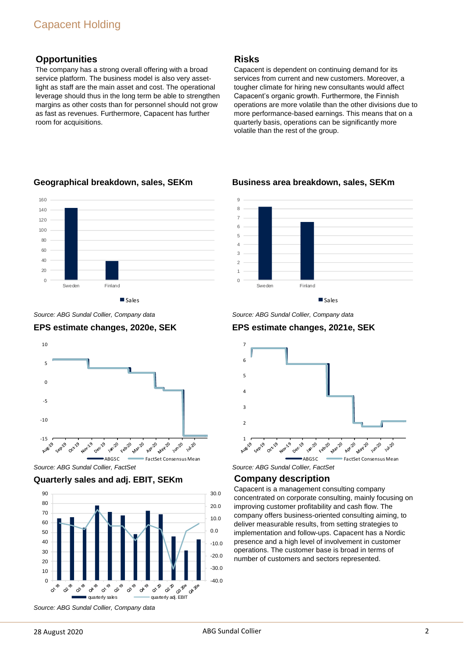The company has a strong overall offering with a broad service platform. The business model is also very assetlight as staff are the main asset and cost. The operational leverage should thus in the long term be able to strengthen margins as other costs than for personnel should not grow as fast as revenues. Furthermore, Capacent has further room for acquisitions.

#### **Risks**

Capacent is dependent on continuing demand for its services from current and new customers. Moreover, a tougher climate for hiring new consultants would affect Capacent's organic growth. Furthermore, the Finnish operations are more volatile than the other divisions due to more performance-based earnings. This means that on a quarterly basis, operations can be significantly more volatile than the rest of the group.



#### **Geographical breakdown, sales, SEKm**

*Source: ABG Sundal Collier, Company data*





*Source: ABG Sundal Collier, FactSet*





 $\Omega$ 1  $\overline{2}$ 3  $\overline{A}$ 5 6 7 8 9 Sweden Finland

**Business area breakdown, sales, SEKm**



*Source: ABG Sundal Collier, Company data*

#### **EPS estimate changes, 2021e, SEK**



#### **Company description**

Capacent is a management consulting company concentrated on corporate consulting, mainly focusing on improving customer profitability and cash flow. The company offers business-oriented consulting aiming, to deliver measurable results, from setting strategies to implementation and follow-ups. Capacent has a Nordic presence and a high level of involvement in customer operations. The customer base is broad in terms of number of customers and sectors represented.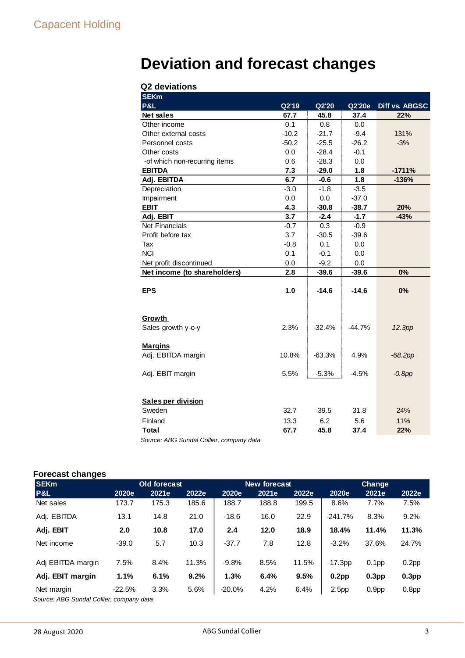## **Deviation and forecast changes**

#### **Q2 deviations**

| <b>SEKm</b>                   |         |          |          |                |
|-------------------------------|---------|----------|----------|----------------|
| <b>P&amp;L</b>                | Q2'19   | Q2'20    | Q2'20e   | Diff vs. ABGSC |
| Net sales                     | 67.7    | 45.8     | 37.4     | 22%            |
| Other income                  | 0.1     | 0.8      | 0.0      |                |
| Other external costs          | $-10.2$ | $-21.7$  | $-9.4$   | 131%           |
| Personnel costs               | $-50.2$ | $-25.5$  | $-26.2$  | $-3%$          |
| Other costs                   | 0.0     | $-28.4$  | $-0.1$   |                |
| -of which non-recurring items | 0.6     | $-28.3$  | 0.0      |                |
| <b>EBITDA</b>                 | 7.3     | $-29.0$  | 1.8      | $-1711%$       |
| Adj. EBITDA                   | 6.7     | $-0.6$   | 1.8      | $-136%$        |
| Depreciation                  | $-3.0$  | $-1.8$   | $-3.5$   |                |
| Impairment                    | 0.0     | 0.0      | $-37.0$  |                |
| <b>EBIT</b>                   | 4.3     | $-30.8$  | $-38.7$  | 20%            |
| Adj. EBIT                     | 3.7     | $-2.4$   | $-1.7$   | $-43%$         |
| <b>Net Financials</b>         | $-0.7$  | 0.3      | $-0.9$   |                |
| Profit before tax             | 3.7     | $-30.5$  | $-39.6$  |                |
| Tax                           | $-0.8$  | 0.1      | 0.0      |                |
| <b>NCI</b>                    | 0.1     | $-0.1$   | 0.0      |                |
| Net profit discontinued       | 0.0     | $-9.2$   | 0.0      |                |
| Net income (to shareholders)  | 2.8     | $-39.6$  | $-39.6$  | 0%             |
|                               |         |          |          |                |
| <b>EPS</b>                    | 1.0     | $-14.6$  | $-14.6$  | 0%             |
|                               |         |          |          |                |
|                               |         |          |          |                |
| Growth                        |         |          |          |                |
| Sales growth y-o-y            | 2.3%    | $-32.4%$ | $-44.7%$ | 12.3pp         |
|                               |         |          |          |                |
| <b>Margins</b>                |         |          |          |                |
| Adj. EBITDA margin            | 10.8%   | -63.3%   | 4.9%     | $-68.2pp$      |
|                               |         |          |          |                |
| Adj. EBIT margin              | 5.5%    | $-5.3%$  | $-4.5%$  | $-0.8$ pp      |
|                               |         |          |          |                |
|                               |         |          |          |                |
| Sales per division            |         |          |          |                |
| Sweden                        | 32.7    | 39.5     | 31.8     | 24%            |
| Finland                       | 13.3    | 6.2      | 5.6      | 11%            |
| <b>Total</b>                  | 67.7    | 45.8     | 37.4     | 22%            |

*Source: ABG Sundal Collier, company data*

#### **Forecast changes**

| -<br><b>SEKm</b>                                       |          | <b>Old forecast</b> |       |           | <b>New forecast</b> |       | Change            |                   |                   |  |
|--------------------------------------------------------|----------|---------------------|-------|-----------|---------------------|-------|-------------------|-------------------|-------------------|--|
| P&L                                                    | 2020e    | 2021e               | 2022e | 2020e     | 2021e               | 2022e | 2020e             | 2021e             | 2022e             |  |
| Net sales                                              | 173.7    | 175.3               | 185.6 | 188.7     | 188.8               | 199.5 | 8.6%              | 7.7%              | 7.5%              |  |
| Adj. EBITDA                                            | 13.1     | 14.8                | 21.0  | $-18.6$   | 16.0                | 22.9  | $-241.7%$         | 8.3%              | 9.2%              |  |
| Adj. EBIT                                              | 2.0      | 10.8                | 17.0  | 2.4       | 12.0                | 18.9  | 18.4%             | 11.4%             | 11.3%             |  |
| Net income                                             | $-39.0$  | 5.7                 | 10.3  | $-37.7$   | 7.8                 | 12.8  | $-3.2%$           | 37.6%             | 24.7%             |  |
| Adj EBITDA margin                                      | 7.5%     | 8.4%                | 11.3% | $-9.8%$   | 8.5%                | 11.5% | $-17.3pp$         | 0.1 <sub>pp</sub> | 0.2 <sub>pp</sub> |  |
| Adj. EBIT margin                                       | 1.1%     | 6.1%                | 9.2%  | 1.3%      | 6.4%                | 9.5%  | 0.2 <sub>pp</sub> | 0.3 <sub>pp</sub> | 0.3 <sub>pp</sub> |  |
| Net margin<br>Course: APC Cundel Collier, company data | $-22.5%$ | 3.3%                | 5.6%  | $-20.0\%$ | 4.2%                | 6.4%  | 2.5 <sub>pp</sub> | 0.9 <sub>pp</sub> | 0.8 <sub>pp</sub> |  |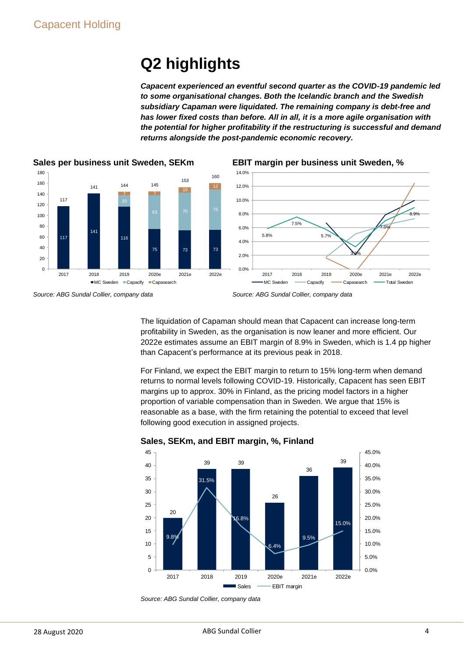## **Q2 highlights**

*Capacent experienced an eventful second quarter as the COVID-19 pandemic led to some organisational changes. Both the Icelandic branch and the Swedish subsidiary Capaman were liquidated. The remaining company is debt-free and has lower fixed costs than before. All in all, it is a more agile organisation with the potential for higher profitability if the restructuring is successful and demand returns alongside the post-pandemic economic recovery.*



#### **EBIT margin per business unit Sweden, %**



*Source: ABG Sundal Collier, company data*



The liquidation of Capaman should mean that Capacent can increase long-term profitability in Sweden, as the organisation is now leaner and more efficient. Our 2022e estimates assume an EBIT margin of 8.9% in Sweden, which is 1.4 pp higher than Capacent's performance at its previous peak in 2018.

For Finland, we expect the EBIT margin to return to 15% long-term when demand returns to normal levels following COVID-19. Historically, Capacent has seen EBIT margins up to approx. 30% in Finland, as the pricing model factors in a higher proportion of variable compensation than in Sweden. We argue that 15% is reasonable as a base, with the firm retaining the potential to exceed that level following good execution in assigned projects.



#### **Sales, SEKm, and EBIT margin, %, Finland**

*Source: ABG Sundal Collier, company data*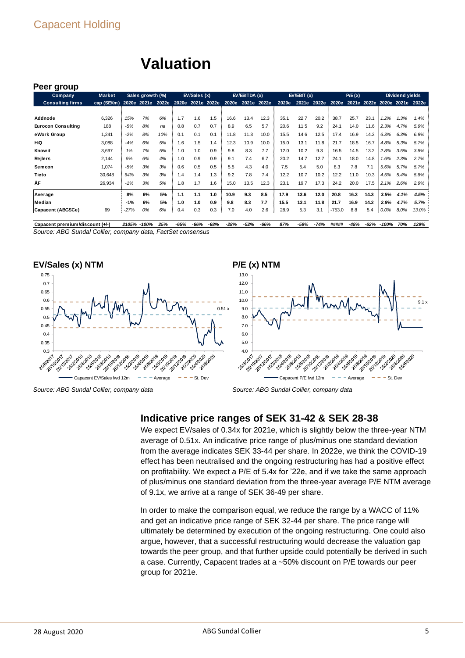| Peer group                |               |        |                  |                   |                   |              |     |       |              |      |       |            |       |          |        |      |         |                               |         |
|---------------------------|---------------|--------|------------------|-------------------|-------------------|--------------|-----|-------|--------------|------|-------|------------|-------|----------|--------|------|---------|-------------------------------|---------|
| <b>Company</b>            | <b>Market</b> |        | Sales growth (%) |                   |                   | EV/Sales (x) |     |       | EV/EBITDA(x) |      |       | EV/EBIT(x) |       |          | P/E(x) |      |         | Dividend yields               |         |
| <b>Consulting firms</b>   | cap (SEKm)    |        |                  | 2020e 2021e 2022e | 2020e 2021e 2022e |              |     | 2020e | 2021e 2022e  |      | 2020e | 2021e      | 2022e | 2020e    |        |      |         | 2021e 2022e 2020e 2021e 2022e |         |
|                           |               |        |                  |                   |                   |              |     |       |              |      |       |            |       |          |        |      |         |                               |         |
| Addnode                   | 6,326         | 15%    | 7%               | 6%                | 1.7               | 1.6          | 1.5 | 16.6  | 13.4         | 12.3 | 35.1  | 22.7       | 20.2  | 38.7     | 25.7   | 23.1 | $1.2\%$ | 1.3%                          | 1.4%    |
| <b>Eurocon Consulting</b> | 188           | -5%    | 8%               | na                | 0.8               | 0.7          | 0.7 | 8.9   | 6.5          | 5.7  | 20.6  | 11.5       | 9.2   | 24.1     | 14.0   | 11.6 | 2.3%    | 4.7%                          | 5.9%    |
| eWork Group               | 1,241         | $-2%$  | 8%               | 10%               | 0.1               | 0.1          | 0.1 | 11.8  | 11.3         | 10.0 | 15.5  | 14.6       | 12.5  | 17.4     | 16.9   | 14.2 | 6.3%    | 6.3%                          | 6.9%    |
| HiQ                       | 3,088         | $-4%$  | 6%               | 5%                | 1.6               | 1.5          | 1.4 | 12.3  | 10.9         | 10.0 | 15.0  | 13.1       | 11.8  | 21.7     | 18.5   | 16.7 | 4.8%    | 5.3%                          | 5.7%    |
| <b>Know it</b>            | 3,697         | 1%     | 7%               | 5%                | 1.0               | 1.0          | 0.9 | 9.8   | 8.3          | 7.7  | 12.0  | 10.2       | 9.3   | 16.5     | 14.5   | 13.2 | 2.8%    | 3.5%                          | 3.8%    |
| <b>Rejlers</b>            | 2.144         | 9%     | 6%               | 4%                | 1.0               | 0.9          | 0.9 | 9.1   | 7.4          | 6.7  | 20.2  | 14.7       | 12.7  | 24.1     | 18.0   | 14.8 | 1.6%    | 2.3%                          | 2.7%    |
| Semcon                    | 1,074         | $-5%$  | 3%               | 3%                | 0.6               | 0.5          | 0.5 | 5.5   | 4.3          | 4.0  | 7.5   | 5.4        | 5.0   | 8.3      | 7.8    | 7.1  | 5.6%    | 5.7%                          | 5.7%    |
| Tieto                     | 30,648        | 64%    | 3%               | 3%                | 1.4               | 1.4          | 1.3 | 9.2   | 7.8          | 7.4  | 12.2  | 10.7       | 10.2  | 12.2     | 11.0   | 10.3 | 4.5%    | 5.4%                          | 5.8%    |
| ÅF                        | 26,934        | $-1%$  | 3%               | 5%                | 1.8               | 1.7          | 1.6 | 15.0  | 13.5         | 12.3 | 23.1  | 19.7       | 17.3  | 24.2     | 20.0   | 17.5 | 2.1%    | 2.6%                          | 2.9%    |
| Average                   |               | 8%     | 6%               | 5%                | 1.1               | 1.1          | 1.0 | 10.9  | 9.3          | 8.5  | 17.9  | 13.6       | 12.0  | 20.8     | 16.3   | 14.3 | 3.5%    | 4.1%                          | 4.5%    |
| Median                    |               | $-1%$  | 6%               | 5%                | 1.0               | 1.0          | 0.9 | 9.8   | 8.3          | 7.7  | 15.5  | 13.1       | 11.8  | 21.7     | 16.9   | 14.2 | 2.8%    | 4.7%                          | 5.7%    |
| Capacent (ABGSCe)         | 69            | $-27%$ | 0%               | 6%                | 0.4               | 0.3          | 0.3 | 7.0   | 4.0          | 2.6  | 28.9  | 5.3        | 3.1   | $-753.0$ | 8.8    | 5.4  | $0.0\%$ | 8.0%                          | 13.0% : |

**Valuation**

#### *Source: ABG Sundal Collier, company data, FactSet consensus* Capacent premium/discount (+/-) 2105% -100% 25% -65% -66% -68% -28% -52% -66% 87% -59% -74% ##### -48% -62% -100% 70% 129%









*Source: ABG Sundal Collier, company data*

#### **Indicative price ranges of SEK 31-42 & SEK 28-38**

We expect EV/sales of 0.34x for 2021e, which is slightly below the three-year NTM average of 0.51x. An indicative price range of plus/minus one standard deviation from the average indicates SEK 33-44 per share. In 2022e, we think the COVID-19 effect has been neutralised and the ongoing restructuring has had a positive effect on profitability. We expect a P/E of 5.4x for '22e, and if we take the same approach of plus/minus one standard deviation from the three-year average P/E NTM average of 9.1x, we arrive at a range of SEK 36-49 per share.

In order to make the comparison equal, we reduce the range by a WACC of 11% and get an indicative price range of SEK 32-44 per share. The price range will ultimately be determined by execution of the ongoing restructuring. One could also argue, however, that a successful restructuring would decrease the valuation gap towards the peer group, and that further upside could potentially be derived in such a case. Currently, Capacent trades at a ~50% discount on P/E towards our peer group for 2021e.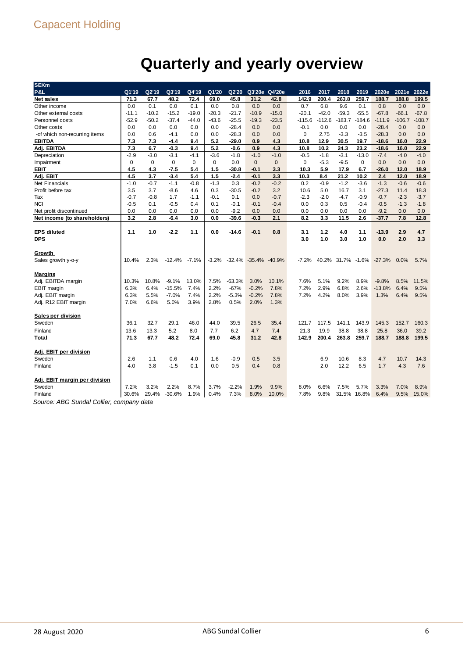## **Quarterly and yearly overview**

| <b>SEKm</b>                             |             |             |             |             |         |          |                   |              |             |          |                   |          |          |          |          |
|-----------------------------------------|-------------|-------------|-------------|-------------|---------|----------|-------------------|--------------|-------------|----------|-------------------|----------|----------|----------|----------|
| <b>P&amp;L</b>                          | Q1'19       | Q2'19       | Q3'19       | Q4'19       | Q1'20   | Q2'20    | Q3'20e            | Q4'20e       | 2016        | 2017     | 2018              | 2019     | 2020e    | 2021e    | 2022e    |
| <b>Net sales</b>                        | 71.3        | 67.7        | 48.2        | 72.4        | 69.0    | 45.8     | 31.2              | 42.8         | 142.9       | 200.4    | 263.8             | 259.7    | 188.7    | 188.8    | 199.5    |
| Other income                            | 0.0         | 0.1         | 0.0         | 0.1         | 0.0     | 0.8      | 0.0               | 0.0          | 0.7         | 6.8      | 9.6               | 0.1      | 0.8      | 0.0      | 0.0      |
| Other external costs                    | $-11.1$     | $-10.2$     | $-15.2$     | $-19.0$     | $-20.3$ | $-21.7$  | $-10.9$           | $-15.0$      | $-20.1$     | $-42.0$  | $-59.3$           | $-55.5$  | $-67.8$  | $-66.1$  | $-67.8$  |
| Personnel costs                         | $-52.9$     | $-50.2$     | $-37.4$     | $-44.0$     | $-43.6$ | $-25.5$  | $-19.3$           | $-23.5$      | $-115.6$    | $-112.6$ | $-183.7$          | $-184.6$ | $-111.9$ | $-106.7$ | $-108.7$ |
| Other costs                             | 0.0         | 0.0         | 0.0         | 0.0         | 0.0     | $-28.4$  | 0.0               | 0.0          | $-0.1$      | 0.0      | 0.0               | 0.0      | $-28.4$  | 0.0      | 0.0      |
| -of which non-recurring items           | 0.0         | 0.6         | -4.1        | 0.0         | 0.0     | $-28.3$  | 0.0               | 0.0          | $\mathbf 0$ | 2.75     | $-3.3$            | $-3.5$   | $-28.3$  | 0.0      | 0.0      |
| <b>EBITDA</b>                           | 7.3         | 7.3         | -4.4        | 9.4         | 5.2     | $-29.0$  | 0.9               | 4.3          | 10.8        | 12.9     | 30.5              | 19.7     | $-18.6$  | 16.0     | 22.9     |
| Adj. EBITDA                             | 7.3         | 6.7         | -0.3        | 9.4         | 5.2     | -0.6     | 0.9               | 4.3          | 10.8        | 10.2     | 24.3              | 23.2     | $-18.6$  | 16.0     | 22.9     |
| Depreciation                            | $-2.9$      | $-3.0$      | $-3.1$      | $-4.1$      | $-3.6$  | $-1.8$   | $-1.0$            | $-1.0$       | $-0.5$      | $-1.8$   | $-3.1$            | $-13.0$  | $-7.4$   | $-4.0$   | $-4.0$   |
| Impairment                              | $\mathbf 0$ | $\mathbf 0$ | $\mathbf 0$ | $\mathbf 0$ | 0       | 0.0      | $\mathbf 0$       | $\mathbf{0}$ | $\mathbf 0$ | $-5.3$   | $-9.5$            | 0        | 0.0      | 0.0      | 0.0      |
| <b>EBIT</b>                             | 4.5         | 4.3         | -7.5        | 5.4         | 1.5     | $-30.8$  | $-0.1$            | 3.3          | 10.3        | 5.9      | 17.9              | 6.7      | $-26.0$  | 12.0     | 18.9     |
| Adj. EBIT                               | 4.5         | 3.7         | $-3.4$      | 5.4         | 1.5     | $-2.4$   | $-0.1$            | 3.3          | 10.3        | 8.4      | 21.2              | 10.2     | 2.4      | 12.0     | 18.9     |
| <b>Net Financials</b>                   | $-1.0$      | $-0.7$      | $-1.1$      | $-0.8$      | $-1.3$  | 0.3      | $-0.2$            | $-0.2$       | 0.2         | $-0.9$   | $-1.2$            | $-3.6$   | $-1.3$   | $-0.6$   | $-0.6$   |
| Profit before tax                       | 3.5         | 3.7         | $-8.6$      | 4.6         | 0.3     | $-30.5$  | $-0.2$            | 3.2          | 10.6        | 5.0      | 16.7              | 3.1      | $-27.3$  | 11.4     | 18.3     |
| Tax                                     | $-0.7$      | $-0.8$      | 1.7         | $-1.1$      | $-0.1$  | 0.1      | 0.0               | $-0.7$       | $-2.3$      | $-2.0$   | $-4.7$            | $-0.9$   | $-0.7$   | $-2.3$   | $-3.7$   |
| <b>NCI</b>                              | $-0.5$      | 0.1         | $-0.5$      | 0.4         | 0.1     | $-0.1$   | $-0.1$            | $-0.4$       | 0.0         | 0.3      | 0.5               | $-0.4$   | $-0.5$   | $-1.3$   | $-1.8$   |
| Net profit discontinued                 | 0.0         | 0.0         | 0.0         | 0.0         | 0.0     | $-9.2$   | 0.0               | 0.0          | 0.0         | 0.0      | 0.0               | 0.0      | $-9.2$   | 0.0      | 0.0      |
| Net income (to shareholders)            | 3.2         | 2.8         | $-6.4$      | 3.0         | 0.0     | $-39.6$  | $-0.3$            | 2.1          | 8.2         | 3.3      | 11.5              | 2.6      | $-37.7$  | 7.8      | 12.8     |
|                                         |             |             |             |             |         |          |                   |              |             |          |                   |          |          |          |          |
| <b>EPS diluted</b>                      | 1.1         | 1.0         | $-2.2$      | 1.1         | 0.0     | $-14.6$  | $-0.1$            | 0.8          | 3.1         | 1.2      | 4.0               | 1.1      | $-13.9$  | 2.9      | 4.7      |
| <b>DPS</b>                              |             |             |             |             |         |          |                   |              | 3.0         | 1.0      | 3.0               | 1.0      | 0.0      | 2.0      | 3.3      |
|                                         |             |             |             |             |         |          |                   |              |             |          |                   |          |          |          |          |
| Growth                                  |             |             |             |             |         |          |                   |              |             |          |                   |          |          |          |          |
| Sales growth y-o-y                      | 10.4%       | 2.3%        | $-12.4%$    | $-7.1%$     | $-3.2%$ |          | $-32.4\% -35.4\%$ | $-40.9%$     | $-7.2%$     |          | 40.2% 31.7% -1.6% |          | $-27.3%$ | 0.0%     | 5.7%     |
|                                         |             |             |             |             |         |          |                   |              |             |          |                   |          |          |          |          |
| <b>Margins</b>                          |             |             |             |             |         |          |                   |              |             |          |                   |          |          |          |          |
| Adj. EBITDA margin                      | 10.3%       | 10.8%       | $-9.1%$     | 13.0%       | 7.5%    | $-63.3%$ | 3.0%              | 10.1%        | 7.6%        | 5.1%     | 9.2%              | 8.9%     | $-9.8%$  | 8.5%     | 11.5%    |
| EBIT margin                             | 6.3%        | 6.4%        | $-15.5%$    | 7.4%        | 2.2%    | $-67%$   | $-0.2%$           | 7.8%         | 7.2%        | 2.9%     | 6.8%              | 2.6%     | $-13.8%$ | 6.4%     | 9.5%     |
| Adj. EBIT margin                        | 6.3%        | 5.5%        | $-7.0%$     | 7.4%        | 2.2%    | $-5.3%$  | $-0.2%$           | 7.8%         | 7.2%        | 4.2%     | 8.0%              | 3.9%     | 1.3%     | 6.4%     | 9.5%     |
| Adj. R12 EBIT margin                    | 7.0%        | 6.6%        | 5.0%        | 3.9%        | 2.8%    | 0.5%     | 2.0%              | 1.3%         |             |          |                   |          |          |          |          |
|                                         |             |             |             |             |         |          |                   |              |             |          |                   |          |          |          |          |
| Sales per division                      |             |             |             |             |         |          |                   |              |             |          |                   |          |          |          |          |
| Sweden                                  | 36.1        | 32.7        | 29.1        | 46.0        | 44.0    | 39.5     | 26.5              | 35.4         | 121.7       | 117.5    | 141.1             | 143.9    | 145.3    | 152.7    | 160.3    |
| Finland                                 | 13.6        | 13.3        | 5.2         | 8.0         | 7.7     | 6.2      | 4.7               | 7.4          | 21.3        | 19.9     | 38.8              | 38.8     | 25.8     | 36.0     | 39.2     |
| Total                                   | 71.3        | 67.7        | 48.2        | 72.4        | 69.0    | 45.8     | 31.2              | 42.8         | 142.9       | 200.4    | 263.8             | 259.7    | 188.7    | 188.8    | 199.5    |
|                                         |             |             |             |             |         |          |                   |              |             |          |                   |          |          |          |          |
| Adj. EBIT per division                  |             |             |             |             |         |          |                   |              |             |          |                   |          |          |          |          |
| Sweden                                  | 2.6         | 1.1         | 0.6         | 4.0         | 1.6     | $-0.9$   | 0.5               | 3.5          |             | 6.9      | 10.6              | 8.3      | 4.7      | 10.7     | 14.3     |
| Finland                                 | 4.0         | 3.8         | $-1.5$      | 0.1         | 0.0     | 0.5      | 0.4               | 0.8          |             | 2.0      | 12.2              | 6.5      | 1.7      | 4.3      | 7.6      |
|                                         |             |             |             |             |         |          |                   |              |             |          |                   |          |          |          |          |
| Adj. EBIT margin per division           |             |             |             |             |         |          |                   |              |             |          |                   |          |          |          |          |
| Sweden                                  | 7.2%        | 3.2%        | 2.2%        | 8.7%        | 3.7%    | $-2.2%$  | 1.9%              | 9.9%         | 8.0%        | 6.6%     | 7.5%              | 5.7%     | 3.3%     | 7.0%     | 8.9%     |
| Finland                                 | 30.6%       | 29.4%       | $-30.6%$    | 1.9%        | 0.4%    | 7.3%     | 8.0%              | 10.0%        | 7.8%        | 9.8%     | 31.5%             | 16.8%    | 6.4%     | 9.5%     | 15.0%    |
| Course: APC Sundal Collier company data |             |             |             |             |         |          |                   |              |             |          |                   |          |          |          |          |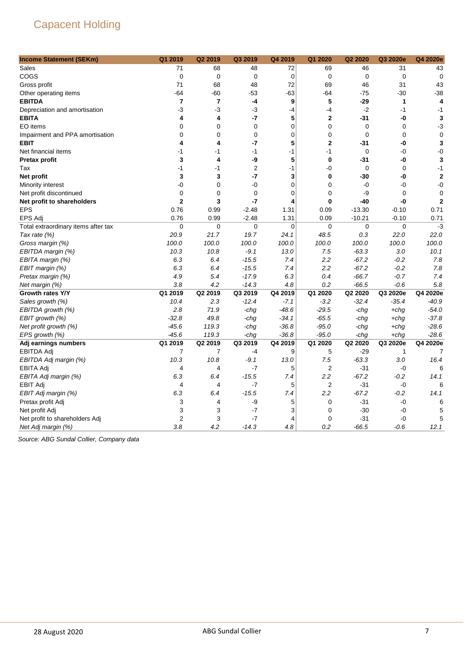| <b>Income Statement (SEKm)</b>      | Q1 2019        | Q2 2019        | Q3 2019        | Q4 2019        | Q1 2020                 | Q2 2020     | Q3 2020e     | Q4 2020e       |
|-------------------------------------|----------------|----------------|----------------|----------------|-------------------------|-------------|--------------|----------------|
| Sales                               | 71             | 68             | 48             | 72             | 69                      | 46          | 31           | 43             |
| COGS                                | 0              | 0              | $\mathbf 0$    | $\mathbf 0$    | $\mathbf 0$             | $\mathbf 0$ | $\mathbf 0$  | $\mathbf 0$    |
| Gross profit                        | 71             | 68             | 48             | 72             | 69                      | 46          | 31           | 43             |
| Other operating items               | -64            | $-60$          | $-53$          | -63            | $-64$                   | $-75$       | $-30$        | $-38$          |
| <b>EBITDA</b>                       | 7              | $\overline{7}$ | -4             | 9              | 5                       | -29         | 1            | 4              |
| Depreciation and amortisation       | -3             | $-3$           | -3             | -4             | $-4$                    | $-2$        | $-1$         | $-1$           |
| <b>EBITA</b>                        | 4              | 4              | -7             | 5              | $\mathbf{2}$            | -31         | -0           | 3              |
| EO items                            | 0              | $\mathbf 0$    | $\mathbf 0$    | $\mathbf 0$    | 0                       | 0           | $\mathbf 0$  | $-3$           |
| Impairment and PPA amortisation     | 0              | $\mathbf 0$    | $\mathbf 0$    | 0              | $\mathbf 0$             | $\mathbf 0$ | $\mathbf 0$  | $\mathbf 0$    |
| <b>EBIT</b>                         | 4              | 4              | -7             | 5              | $\mathbf{2}$            | -31         | -0           | 3              |
| Net financial items                 | -1             | -1             | $-1$           | $-1$           | $-1$                    | 0           | $-0$         | $-0$           |
| Pretax profit                       | 3              | 4              | -9             | 5              | $\bf{0}$                | -31         | -0           | 3              |
| Tax                                 | $-1$           | $-1$           | $\overline{2}$ | $-1$           | -0                      | $\mathbf 0$ | $\mathbf 0$  | $-1$           |
| Net profit                          | 3              | 3              | -7             | 3              | $\bf{0}$                | -30         | -0           | $\overline{2}$ |
| Minority interest                   | -0             | 0              | -0             | 0              | $\mathbf 0$             | $-0$        | -0           | $-0$           |
| Net profit discontinued             | 0              | $\mathbf 0$    | $\mathbf 0$    | $\mathbf 0$    | $\mathbf 0$             | -9          | $\mathbf 0$  | 0              |
| Net profit to shareholders          | $\mathbf 2$    | 3              | $-7$           | 4              | $\bf{0}$                | -40         | -0           | $\overline{2}$ |
| <b>EPS</b>                          | 0.76           | 0.99           | $-2.48$        | 1.31           | 0.09                    | $-13.30$    | $-0.10$      | 0.71           |
| EPS Adj                             | 0.76           | 0.99           | $-2.48$        | 1.31           | 0.09                    | $-10.21$    | $-0.10$      | 0.71           |
| Total extraordinary items after tax | 0              | $\mathbf 0$    | $\mathbf 0$    | $\mathbf 0$    | $\mathbf 0$             | 0           | $\mathbf 0$  | $-3$           |
| Tax rate (%)                        | 20.9           | 21.7           | 19.7           | 24.1           | 48.5                    | 0.3         | 22.0         | 22.0           |
| Gross margin (%)                    | 100.0          | 100.0          | 100.0          | 100.0          | 100.0                   | 100.0       | 100.0        | 100.0          |
| EBITDA margin (%)                   | 10.3           | 10.8           | $-9.1$         | 13.0           | 7.5                     | $-63.3$     | 3.0          | 10.1           |
| EBITA margin (%)                    | 6.3            | 6.4            | $-15.5$        | 7.4            | 2.2                     | $-67.2$     | $-0.2$       | 7.8            |
| EBIT margin (%)                     | 6.3            | 6.4            | $-15.5$        | 7.4            | 2.2                     | $-67.2$     | $-0.2$       | 7.8            |
| Pretax margin (%)                   | 4.9            | 5.4            | $-17.9$        | 6.3            | 0.4                     | $-66.7$     | $-0.7$       | 7.4            |
| Net margin (%)                      | 3.8            | 4.2            | $-14.3$        | 4.8            | 0.2                     | $-66.5$     | $-0.6$       | 5.8            |
| Growth rates Y/Y                    | Q1 2019        | Q2 2019        | Q3 2019        | Q4 2019        | Q1 2020                 | Q2 2020     | Q3 2020e     | Q4 2020e       |
| Sales growth (%)                    | 10.4           | 2.3            | $-12.4$        | $-7.1$         | $-3.2$                  | $-32.4$     | $-35.4$      | $-40.9$        |
| EBITDA growth (%)                   | 2.8            | 71.9           | -chg           | $-48.6$        | $-29.5$                 | -chg        | $+chq$       | $-54.0$        |
| EBIT growth (%)                     | $-32.8$        | 49.8           | -chg           | $-34.1$        | $-65.5$                 | -chg        | $+chq$       | $-37.8$        |
| Net profit growth (%)               | $-45.6$        | 119.3          | -chg           | $-36.8$        | $-95.0$                 | -chg        | +chg         | $-28.6$        |
| EPS growth (%)                      | $-45.6$        | 119.3          | -chg           | $-36.8$        | $-95.0$                 | -chg        | +chg         | $-28.6$        |
| Adj earnings numbers                | Q1 2019        | Q2 2019        | Q3 2019        | Q4 2019        | Q1 2020                 | Q2 2020     | Q3 2020e     | Q4 2020e       |
| EBITDA Adj                          | 7              | 7              | -4             | 9              | 5                       | $-29$       | $\mathbf{1}$ | 7              |
| EBITDA Adj margin (%)               | 10.3           | 10.8           | $-9.1$         | 13.0           | 7.5                     | $-63.3$     | 3.0          | 16.4           |
| <b>EBITA Adj</b>                    | 4              | 4              | $-7$           | 5              | $\overline{\mathbf{c}}$ | $-31$       | $-0$         | 6              |
| EBITA Adj margin (%)                | 6.3            | 6.4            | $-15.5$        | 7.4            | 2.2                     | $-67.2$     | $-0.2$       | 14.1           |
| <b>EBIT Adj</b>                     | 4              | $\overline{4}$ | $-7$           | 5              | $\overline{2}$          | $-31$       | $-0$         | 6              |
| EBIT Adj margin (%)                 | 6.3            | 6.4            | $-15.5$        | 7.4            | 2.2                     | $-67.2$     | $-0.2$       | 14.1           |
| Pretax profit Adj                   | 3              | 4              | -9             | 5              | 0                       | $-31$       | -0           | 6              |
| Net profit Adj                      | 3              | 3              | $-7$           | 3              | $\mathbf 0$             | $-30$       | $-0$         | 5              |
| Net profit to shareholders Adj      | $\overline{2}$ | 3              | $-7$           | $\overline{4}$ | $\mathbf 0$             | -31         | $-0$         | 5              |
| Net Adj margin (%)                  | 3.8            | 4.2            | $-14.3$        | 4.8            | 0.2                     | $-66.5$     | $-0.6$       | 12.1           |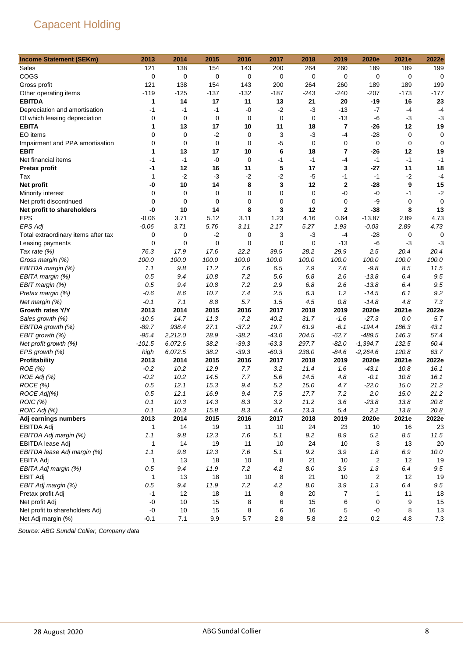| <b>Income Statement (SEKm)</b>      | 2013        | 2014        | 2015        | 2016    | 2017        | 2018        | 2019        | 2020e      | 2021e       | 2022e       |
|-------------------------------------|-------------|-------------|-------------|---------|-------------|-------------|-------------|------------|-------------|-------------|
| Sales                               | 121         | 138         | 154         | 143     | 200         | 264         | 260         | 189        | 189         | 199         |
| COGS                                | 0           | 0           | 0           | 0       | 0           | $\mathbf 0$ | 0           | 0          | 0           | 0           |
| Gross profit                        | 121         | 138         | 154         | 143     | 200         | 264         | 260         | 189        | 189         | 199         |
| Other operating items               | $-119$      | $-125$      | $-137$      | $-132$  | $-187$      | $-243$      | $-240$      | $-207$     | $-173$      | $-177$      |
| <b>EBITDA</b>                       | 1           | 14          | 17          | 11      | 13          | 21          | 20          | -19        | 16          | 23          |
| Depreciation and amortisation       | $-1$        | $-1$        | $-1$        | -0      | $-2$        | $-3$        | $-13$       | -7         | $-4$        | $-4$        |
| Of which leasing depreciation       | 0           | 0           | $\mathbf 0$ | 0       | $\mathbf 0$ | $\mathbf 0$ | $-13$       | -6         | $-3$        | $-3$        |
| <b>EBITA</b>                        | 1           | 13          | 17          | 10      | 11          | 18          | 7           | -26        | 12          | 19          |
| EO items                            | 0           | $\mathbf 0$ | $-2$        | 0       | 3           | $-3$        | -4          | $-28$      | 0           | 0           |
| Impairment and PPA amortisation     | 0           | $\pmb{0}$   | $\mathbf 0$ | 0       | $-5$        | $\mathbf 0$ | 0           | 0          | 0           | $\mathbf 0$ |
| <b>EBIT</b>                         | 1           | 13          | 17          | 10      | 6           | 18          | 7           | $-26$      | 12          | 19          |
| Net financial items                 | $-1$        | $-1$        | $-0$        | 0       | $-1$        | $-1$        | -4          | $-1$       | $-1$        | $-1$        |
| Pretax profit                       | -1          | 12          | 16          | 11      | 5           | 17          | 3           | $-27$      | 11          | 18          |
| Tax                                 | 1           | $-2$        | $-3$        | $-2$    | $-2$        | $-5$        | $-1$        | $-1$       | $-2$        | $-4$        |
| Net profit                          | -0          | 10          | 14          | 8       | 3           | 12          | $\bf{2}$    | -28        | 9           | 15          |
| Minority interest                   | 0           | $\mathbf 0$ | $\mathbf 0$ | 0       | 0           | $\mathbf 0$ | $-0$        | -0         | $-1$        | $-2$        |
| Net profit discontinued             | 0           | 0           | $\mathbf 0$ | 0       | 0           | $\mathbf 0$ | 0           | -9         | 0           | 0           |
| Net profit to shareholders          | -0          | 10          | 14          | 8       | 3           | 12          | $\mathbf 2$ | -38        | 8           | 13          |
| <b>EPS</b>                          | $-0.06$     | 3.71        | 5.12        | 3.11    | 1.23        | 4.16        | 0.64        | $-13.87$   | 2.89        | 4.73        |
| EPS Adj                             | $-0.06$     | 3.71        | 5.76        | 3.11    | 2.17        | 5.27        | 1.93        | $-0.03$    | 2.89        | 4.73        |
| Total extraordinary items after tax | $\mathbf 0$ | 0           | $-2$        | 0       | 3           | $-3$        | $-4$        | $-28$      | $\mathbf 0$ | 0           |
| Leasing payments                    | 0           | 0           | $\mathbf 0$ | 0       | 0           | 0           | $-13$       | -6         | $-3$        | $-3$        |
| Tax rate (%)                        | 76.3        | 17.9        | 17.6        | 22.2    | 39.5        | 28.2        | 29.9        | 2.5        | 20.4        | 20.4        |
| Gross margin (%)                    | 100.0       | 100.0       | 100.0       | 100.0   | 100.0       | 100.0       | 100.0       | 100.0      | 100.0       | 100.0       |
| EBITDA margin (%)                   | 1.1         | 9.8         | 11.2        | 7.6     | 6.5         | 7.9         | 7.6         | $-9.8$     | 8.5         | 11.5        |
| EBITA margin (%)                    | 0.5         | 9.4         | 10.8        | 7.2     | 5.6         | 6.8         | 2.6         | $-13.8$    | 6.4         | 9.5         |
| EBIT margin (%)                     | 0.5         | 9.4         | 10.8        | 7.2     | 2.9         | 6.8         | 2.6         | $-13.8$    | 6.4         | 9.5         |
| Pretax margin (%)                   | $-0.6$      | 8.6         | 10.7        | 7.4     | 2.5         | 6.3         | 1.2         | $-14.5$    | 6.1         | 9.2         |
| Net margin (%)                      | $-0.1$      | 7.1         | 8.8         | 5.7     | 1.5         | 4.5         | $0.8\,$     | $-14.8$    | 4.8         | 7.3         |
| Growth rates Y/Y                    | 2013        | 2014        | 2015        | 2016    | 2017        | 2018        | 2019        | 2020e      | 2021e       | 2022e       |
| Sales growth (%)                    | $-10.6$     | 14.7        | 11.3        | $-7.2$  | 40.2        | 31.7        | $-1.6$      | $-27.3$    | 0.0         | 5.7         |
| EBITDA growth (%)                   | $-89.7$     | 938.4       | 27.1        | $-37.2$ | 19.7        | 61.9        | $-6.1$      | $-194.4$   | 186.3       | 43.1        |
| EBIT growth (%)                     | -95.4       | 2,212.0     | 28.9        | $-38.2$ | $-43.0$     | 204.5       | $-62.7$     | -489.5     | 146.3       | 57.4        |
| Net profit growth (%)               | $-101.5$    | 6,072.6     | 38.2        | $-39.3$ | $-63.3$     | 297.7       | $-82.0$     | $-1,394.7$ | 132.5       | 60.4        |
| EPS growth (%)                      | high        | 6,072.5     | 38.2        | $-39.3$ | $-60.3$     | 238.0       | $-84.6$     | $-2,264.6$ | 120.8       | 63.7        |
| Profitability                       | 2013        | 2014        | 2015        | 2016    | 2017        | 2018        | 2019        | 2020e      | 2021e       | 2022e       |
| ROE(%)                              | $-0.2$      | 10.2        | 12.9        | 7.7     | 3.2         | 11.4        | 1.6         | $-43.1$    | 10.8        | 16.1        |
| ROE Adj (%)                         | $-0.2$      | 10.2        | 14.5        | 7.7     | 5.6         | 14.5        | 4.8         | $-0.1$     | 10.8        | 16.1        |
| ROCE (%)                            | 0.5         | 12.1        | 15.3        | 9.4     | 5.2         | 15.0        | 4.7         | $-22.0$    | 15.0        | 21.2        |
| ROCE Adj(%)                         | 0.5         | 12.1        | 16.9        | 9.4     | 7.5         | 17.7        | 7.2         | 2.0        | 15.0        | 21.2        |
| <b>ROIC</b> (%)                     | 0.1         | 10.3        | 14.3        | 8.3     | 3.2         | 11.2        | 3.6         | $-23.8$    | 13.8        | 20.8        |
| ROIC Adj (%)                        | 0.1         | 10.3        | 15.8        | 8.3     | 4.6         | 13.3        | 5.4         | 2.2        | 13.8        | 20.8        |
| Adj earnings numbers                | 2013        | 2014        | 2015        | 2016    | 2017        | 2018        | 2019        | 2020e      | 2021e       | 2022e       |
| <b>EBITDA Adj</b>                   | 1           | 14          | 19          | 11      | 10          | 24          | 23          | 10         | 16          | 23          |
| EBITDA Adj margin (%)               | 1.1         | 9.8         | 12.3        | 7.6     | 5.1         | $9.2\,$     | 8.9         | 5.2        | $8.5\,$     | 11.5        |
| EBITDA lease Adj                    | 1           | 14          | 19          | 11      | 10          | 24          | 10          | 3          | 13          | 20          |
| EBITDA lease Adj margin (%)         | 1.1         | 9.8         | 12.3        | 7.6     | 5.1         | $9.2\,$     | 3.9         | 1.8        | $6.9\,$     | 10.0        |
| <b>EBITA Adj</b>                    | 1           | 13          | 18          | 10      | 8           | 21          | 10          | 2          | 12          | 19          |
| EBITA Adj margin (%)                | 0.5         | 9.4         | 11.9        | 7.2     | 4.2         | 8.0         | 3.9         | 1.3        | 6.4         | $9.5\,$     |
| <b>EBIT Adj</b>                     | 1           | 13          | 18          | 10      | 8           | 21          | 10          | 2          | 12          | 19          |
| EBIT Adj margin (%)                 | 0.5         | 9.4         | 11.9        | $7.2\,$ | 4.2         | 8.0         | 3.9         | 1.3        | 6.4         | 9.5         |
| Pretax profit Adj                   | $-1$        | 12          | 18          | 11      | 8           | 20          | 7           | 1          | 11          | 18          |
| Net profit Adj                      | $-0$        | 10          | 15          | 8       | 6           | 15          | 6           | 0          | 9           | 15          |
| Net profit to shareholders Adj      | $-0$        | 10          | 15          | 8       | 6           | 16          | 5           | -0         | 8           | 13          |
| Net Adj margin (%)                  | $-0.1$      | 7.1         | 9.9         | $5.7\,$ | 2.8         | 5.8         | 2.2         | $0.2\,$    | 4.8         | $7.3$       |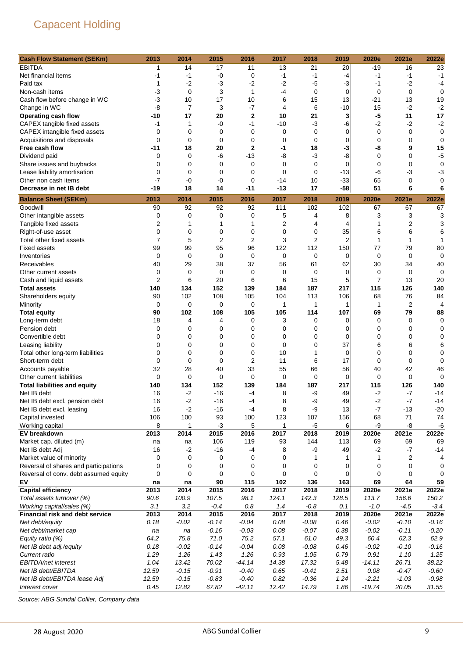| <b>Cash Flow Statement (SEKm)</b>                                | 2013              | 2014           | 2015              | 2016                 | 2017              | 2018        | 2019              | 2020e          | 2021e             | 2022e       |
|------------------------------------------------------------------|-------------------|----------------|-------------------|----------------------|-------------------|-------------|-------------------|----------------|-------------------|-------------|
| <b>EBITDA</b>                                                    | 1                 | 14             | 17                | 11                   | 13                | 21          | 20                | $-19$          | 16                | 23          |
| Net financial items                                              | -1                | $-1$           | $-0$              | 0                    | $-1$              | $-1$        | $-4$              | $-1$           | $-1$              | $-1$        |
| Paid tax                                                         | 1                 | $-2$           | $-3$              | $-2$                 | $-2$              | -5          | -3                | $-1$           | $-2$              | -4          |
| Non-cash items                                                   | $-3$              | $\mathbf 0$    | 3                 | 1                    | -4                | 0           | 0                 | 0              | 0                 | 0           |
| Cash flow before change in WC                                    | $-3$              | 10             | 17                | 10                   | 6                 | 15          | 13                | -21            | 13                | 19          |
| Change in WC                                                     | -8                | $\overline{7}$ | 3                 | $-7$                 | 4                 | 6           | $-10$             | 15             | $-2$              | $-2$        |
| <b>Operating cash flow</b>                                       | -10               | 17             | 20                | $\mathbf 2$          | 10                | 21          | 3                 | $-5$           | 11                | 17          |
| CAPEX tangible fixed assets                                      | -1                | 1              | -0                | $-1$                 | $-10$             | $-3$        | -6                | $-2$           | $-2$              | $-2$        |
| CAPEX intangible fixed assets                                    | 0                 | $\mathbf 0$    | 0                 | $\mathbf 0$          | 0                 | $\mathbf 0$ | 0                 | 0              | $\mathbf 0$       | 0           |
| Acquisitions and disposals                                       | $\mathbf 0$       | $\mathbf 0$    | $\mathbf 0$       | 0                    | 0                 | 0           | 0                 | 0              | 0                 | 0           |
| Free cash flow                                                   | -11               | 18             | 20                | $\mathbf 2$          | -1                | 18          | -3                | -8             | 9                 | 15          |
| Dividend paid                                                    | 0                 | 0              | -6                | $-13$                | -8                | $-3$        | -8                | 0              | 0                 | $-5$        |
| Share issues and buybacks                                        | 0                 | $\mathbf 0$    | $\mathbf 0$       | 0                    | 0                 | 0           | 0                 | 0              | 0                 | 0           |
| Lease liability amortisation                                     | $\mathbf 0$       | $\mathbf 0$    | $\mathbf 0$       | 0                    | 0                 | 0           | $-13$             | -6             | -3                | -3          |
| Other non cash items                                             | $-7$              | $-0$           | -0                | 0                    | -14               | 10          | $-33$             | 65             | 0                 | 0           |
| Decrease in net IB debt                                          | -19               | 18             | 14                | -11                  | $-13$             | 17          | $-58$             | 51             | 6                 | 6           |
| <b>Balance Sheet (SEKm)</b>                                      | 2013              | 2014           | 2015              | 2016                 | 2017              | 2018        | 2019              | 2020e          | 2021e             | 2022e       |
| Goodwill                                                         | 90                | 92             | 92                | 92                   | 111               | 102         | 102               | 67             | 67                | 67          |
| Other intangible assets                                          | 0                 | $\mathbf 0$    | 0                 | 0                    | 5                 | 4           | 8                 | 3              | 3                 | 3           |
| Tangible fixed assets                                            | $\overline{2}$    | 1              | 1                 | 1                    | 2                 | 4           | 4                 | 1              | $\overline{2}$    | 3           |
| Right-of-use asset                                               | 0                 | $\mathbf 0$    | 0                 | 0                    | 0                 | 0           | 35                | 6              | 6                 | 6           |
| Total other fixed assets                                         | 7                 | 5              | $\overline{2}$    | $\overline{2}$       | 3                 | 2           | $\overline{2}$    | 1              | 1                 | 1           |
| <b>Fixed assets</b>                                              | 99                | 99             | 95                | 96                   | 122               | 112         | 150               | 77             | 79                | 80          |
| Inventories                                                      | 0                 | 0              | $\mathbf 0$       | 0                    | 0                 | 0           | 0                 | 0              | 0                 | 0           |
| Receivables                                                      | 40                | 29             | 38                | 37                   | 56                | 61          | 62                | 30             | 34                | 40          |
| Other current assets                                             | 0                 | $\mathbf 0$    | 0                 | 0                    | 0                 | 0           | 0                 | 0              | 0                 | 0           |
| Cash and liquid assets                                           | 2                 | 6              | 20                | 6                    | 6                 | 15          | 5                 | $\overline{7}$ | 13                | 20          |
| <b>Total assets</b>                                              | 140               | 134            | 152               | 139                  | 184               | 187         | 217               | 115            | 126               | 140         |
| Shareholders equity                                              | 90                | 102            | 108               | 105                  | 104               | 113         | 106               | 68             | 76                | 84          |
| Minority                                                         | 0                 | $\mathbf 0$    | 0                 | 0                    | 1                 | 1           | 1                 | 1              | $\overline{2}$    | 4           |
| <b>Total equity</b>                                              | 90                | 102            | 108               | 105                  | 105               | 114         | 107               | 69             | 79                | 88          |
| Long-term debt                                                   | 18                | 4              | 4                 | 0                    | 3                 | 0           | 0                 | 0              | 0                 | 0           |
| Pension debt                                                     | 0                 | 0              | 0                 | 0                    | 0                 | 0           | 0                 | 0              | 0                 | 0           |
| Convertible debt                                                 | 0                 | $\mathbf 0$    | 0                 | 0                    | 0                 | 0           | 0                 | 0              | 0                 | 0           |
| Leasing liability                                                | 0                 | $\mathbf 0$    | 0                 | 0                    | 0                 | 0           | 37                | 6              | 6                 | 6           |
| Total other long-term liabilities                                | 0                 | $\mathbf 0$    | 0                 | 0                    | 10                | 1           | 0                 | 0              | 0                 | 0           |
| Short-term debt                                                  | $\mathbf 0$       | 0<br>28        | $\mathbf 0$       | $\overline{2}$<br>33 | 11                | 6<br>66     | 17                | 0              | 0                 | 0<br>46     |
| Accounts payable                                                 | 32<br>$\mathbf 0$ | $\mathbf 0$    | 40<br>$\mathbf 0$ | 0                    | 55<br>$\mathbf 0$ | 0           | 56<br>$\mathbf 0$ | 40<br>0        | 42<br>$\mathbf 0$ | $\mathbf 0$ |
| Other current liabilities<br><b>Total liabilities and equity</b> | 140               | 134            | 152               | 139                  | 184               | 187         | 217               | 115            | 126               | 140         |
| Net IB debt                                                      | 16                | $-2$           | $-16$             | -4                   | 8                 | -9          | 49                | $-2$           | -7                | $-14$       |
| Net IB debt excl. pension debt                                   | 16                | $-2$           | $-16$             | $-4$                 | 8                 | -9          | 49                | $-2$           | $-7$              | $-14$       |
| Net IB debt excl. leasing                                        | 16                | $-2$           | $-16$             | -4                   | 8                 | -9          | 13                | $-7$           | $-13$             | $-20$       |
| Capital invested                                                 | 106               | 100            | 93                | 100                  | 123               | 107         | 156               | 68             | 71                | 74          |
| Working capital                                                  | 8                 | 1              | $-3$              | 5                    | 1                 | -5          | 6                 | -9             | -8                | -6          |
| EV breakdown                                                     | 2013              | 2014           | 2015              | 2016                 | 2017              | 2018        | 2019              | 2020e          | 2021e             | 2022e       |
| Market cap. diluted (m)                                          | na                | na             | 106               | 119                  | 93                | 144         | 113               | 69             | 69                | 69          |
| Net IB debt Adj                                                  | 16                | $-2$           | -16               | -4                   | 8                 | -9          | 49                | $-2$           | $-7$              | $-14$       |
| Market value of minority                                         | 0                 | 0              | 0                 | 0                    | 0                 | 1           |                   | 1              | 2                 | 4           |
| Reversal of shares and participations                            | $\mathbf 0$       | 0              | 0                 | 0                    | 0                 | 0           | 0                 | 0              | 0                 | 0           |
| Reversal of conv. debt assumed equity                            | 0                 | 0              | 0                 | 0                    | 0                 | 0           | 0                 | 0              | 0                 | 0           |
| EV                                                               | na                | na             | 90                | 115                  | 102               | 136         | 163               | 69             | 64                | 59          |
| <b>Capital efficiency</b>                                        | 2013              | 2014           | 2015              | 2016                 | 2017              | 2018        | 2019              | 2020e          | 2021e             | 2022e       |
| Total assets turnover (%)                                        | 90.6              | 100.9          | 107.5             | 98.1                 | 124.1             | 142.3       | 128.5             | 113.7          | 156.6             | 150.2       |
| Working capital/sales (%)                                        | 3.1               | 3.2            | $-0.4$            | 0.8                  | 1.4               | $-0.8$      | 0.1               | $-1.0$         | $-4.5$            | $-3.4$      |
| <b>Financial risk and debt service</b>                           | 2013              | 2014           | 2015              | 2016                 | 2017              | 2018        | 2019              | 2020e          | 2021e             | 2022e       |
| Net debt/equity                                                  | 0.18              | $-0.02$        | $-0.14$           | $-0.04$              | 0.08              | $-0.08$     | 0.46              | $-0.02$        | $-0.10$           | $-0.16$     |
| Net debt/market cap                                              | na                | na             | $-0.16$           | $-0.03$              | 0.08              | $-0.07$     | 0.38              | $-0.02$        | $-0.11$           | $-0.20$     |
| Equity ratio (%)                                                 | 64.2              | 75.8           | 71.0              | 75.2                 | 57.1              | 61.0        | 49.3              | 60.4           | 62.3              | 62.9        |
| Net IB debt adj./equity                                          | 0.18              | $-0.02$        | $-0.14$           | $-0.04$              | 0.08              | $-0.08$     | 0.46              | $-0.02$        | $-0.10$           | $-0.16$     |
| Current ratio                                                    | 1.29              | 1.26           | 1.43              | 1.26                 | 0.93              | 1.05        | 0.79              | 0.91           | 1.10              | 1.25        |
| EBITDA/net interest                                              | 1.04              | 13.42          | 70.02             | $-44.14$             | 14.38             | 17.32       | 5.48              | $-14.11$       | 26.71             | 38.22       |
| Net IB debt/EBITDA                                               | 12.59             | $-0.15$        | $-0.91$           | $-0.40$              | 0.65              | $-0.41$     | 2.51              | 0.08           | $-0.47$           | $-0.60$     |
| Net IB debt/EBITDA lease Adj                                     | 12.59             | $-0.15$        | $-0.83$           | $-0.40$              | 0.82              | $-0.36$     | 1.24              | $-2.21$        | $-1.03$           | $-0.98$     |
| Interest cover                                                   | 0.45              | 12.82          | 67.82             | $-42.11$             | 12.42             | 14.79       | 1.86              | $-19.74$       | 20.05             | 31.55       |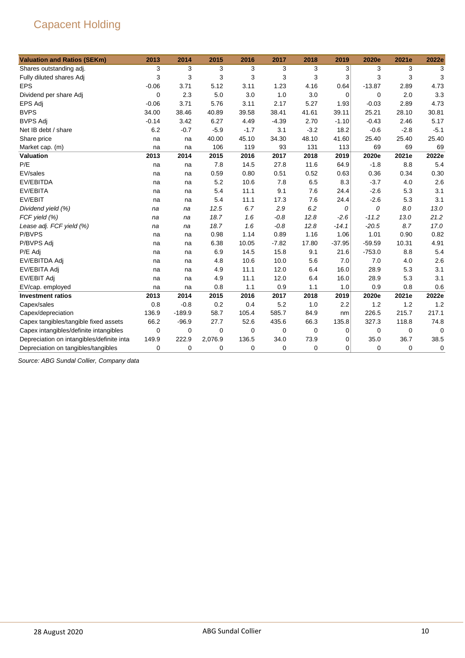| <b>Valuation and Ratios (SEKm)</b>         | 2013        | 2014        | 2015    | 2016   | 2017        | 2018        | 2019        | 2020e    | 2021e  | 2022e  |
|--------------------------------------------|-------------|-------------|---------|--------|-------------|-------------|-------------|----------|--------|--------|
| Shares outstanding adj.                    | 3           | 3           | 3       | 3      | 3           | 3           | 3           | 3        | 3      | 3      |
| Fully diluted shares Adj                   | 3           | 3           | 3       | 3      | 3           | 3           | 3           | 3        | 3      | 3      |
| <b>EPS</b>                                 | $-0.06$     | 3.71        | 5.12    | 3.11   | 1.23        | 4.16        | 0.64        | $-13.87$ | 2.89   | 4.73   |
| Dividend per share Adj                     | 0           | 2.3         | 5.0     | 3.0    | 1.0         | 3.0         | $\mathbf 0$ | 0        | 2.0    | 3.3    |
| <b>EPS Adj</b>                             | $-0.06$     | 3.71        | 5.76    | 3.11   | 2.17        | 5.27        | 1.93        | $-0.03$  | 2.89   | 4.73   |
| <b>BVPS</b>                                | 34.00       | 38.46       | 40.89   | 39.58  | 38.41       | 41.61       | 39.11       | 25.21    | 28.10  | 30.81  |
| <b>BVPS Adj</b>                            | $-0.14$     | 3.42        | 6.27    | 4.49   | $-4.39$     | 2.70        | $-1.10$     | $-0.43$  | 2.46   | 5.17   |
| Net IB debt / share                        | 6.2         | $-0.7$      | $-5.9$  | $-1.7$ | 3.1         | $-3.2$      | 18.2        | $-0.6$   | $-2.8$ | $-5.1$ |
| Share price                                | na          | na          | 40.00   | 45.10  | 34.30       | 48.10       | 41.60       | 25.40    | 25.40  | 25.40  |
| Market cap. (m)                            | na          | na          | 106     | 119    | 93          | 131         | 113         | 69       | 69     | 69     |
| <b>Valuation</b>                           | 2013        | 2014        | 2015    | 2016   | 2017        | 2018        | 2019        | 2020e    | 2021e  | 2022e  |
| P/E                                        | na          | na          | 7.8     | 14.5   | 27.8        | 11.6        | 64.9        | $-1.8$   | 8.8    | 5.4    |
| EV/sales                                   | na          | na          | 0.59    | 0.80   | 0.51        | 0.52        | 0.63        | 0.36     | 0.34   | 0.30   |
| EV/EBITDA                                  | na          | na          | 5.2     | 10.6   | 7.8         | 6.5         | 8.3         | $-3.7$   | 4.0    | 2.6    |
| EV/EBITA                                   | na          | na          | 5.4     | 11.1   | 9.1         | 7.6         | 24.4        | $-2.6$   | 5.3    | 3.1    |
| EV/EBIT                                    | na          | na          | 5.4     | 11.1   | 17.3        | 7.6         | 24.4        | $-2.6$   | 5.3    | 3.1    |
| Dividend yield (%)                         | na          | na          | 12.5    | 6.7    | 2.9         | 6.2         | 0           | 0        | 8.0    | 13.0   |
| FCF yield (%)                              | na          | na          | 18.7    | 1.6    | $-0.8$      | 12.8        | $-2.6$      | $-11.2$  | 13.0   | 21.2   |
| Lease adj. FCF yield (%)                   | na          | na          | 18.7    | 1.6    | $-0.8$      | 12.8        | $-14.1$     | $-20.5$  | 8.7    | 17.0   |
| P/BVPS                                     | na          | na          | 0.98    | 1.14   | 0.89        | 1.16        | 1.06        | 1.01     | 0.90   | 0.82   |
| P/BVPS Adj                                 | na          | na          | 6.38    | 10.05  | $-7.82$     | 17.80       | $-37.95$    | $-59.59$ | 10.31  | 4.91   |
| P/E Adj                                    | na          | na          | 6.9     | 14.5   | 15.8        | 9.1         | 21.6        | $-753.0$ | 8.8    | 5.4    |
| EV/EBITDA Adj                              | na          | na          | 4.8     | 10.6   | 10.0        | 5.6         | 7.0         | 7.0      | 4.0    | 2.6    |
| EV/EBITA Adj                               | na          | na          | 4.9     | 11.1   | 12.0        | 6.4         | 16.0        | 28.9     | 5.3    | 3.1    |
| EV/EBIT Adj                                | na          | na          | 4.9     | 11.1   | 12.0        | 6.4         | 16.0        | 28.9     | 5.3    | 3.1    |
| EV/cap. employed                           | na          | na          | 0.8     | 1.1    | 0.9         | 1.1         | 1.0         | 0.9      | 0.8    | 0.6    |
| <b>Investment ratios</b>                   | 2013        | 2014        | 2015    | 2016   | 2017        | 2018        | 2019        | 2020e    | 2021e  | 2022e  |
| Capex/sales                                | 0.8         | $-0.8$      | 0.2     | 0.4    | 5.2         | 1.0         | 2.2         | 1.2      | 1.2    | 1.2    |
| Capex/depreciation                         | 136.9       | $-189.9$    | 58.7    | 105.4  | 585.7       | 84.9        | nm          | 226.5    | 215.7  | 217.1  |
| Capex tangibles/tangible fixed assets      | 66.2        | $-96.9$     | 27.7    | 52.6   | 435.6       | 66.3        | 135.8       | 327.3    | 118.8  | 74.8   |
| Capex intangibles/definite intangibles     | $\mathbf 0$ | 0           | 0       | 0      | 0           | 0           | 0           | 0        | 0      | 0      |
| Depreciation on intangibles/definite intal | 149.9       | 222.9       | 2,076.9 | 136.5  | 34.0        | 73.9        | 0           | 35.0     | 36.7   | 38.5   |
| Depreciation on tangibles/tangibles        | 0           | $\mathbf 0$ | 0       | 0      | $\mathbf 0$ | $\mathbf 0$ | 0           | 0        | 0      | 0      |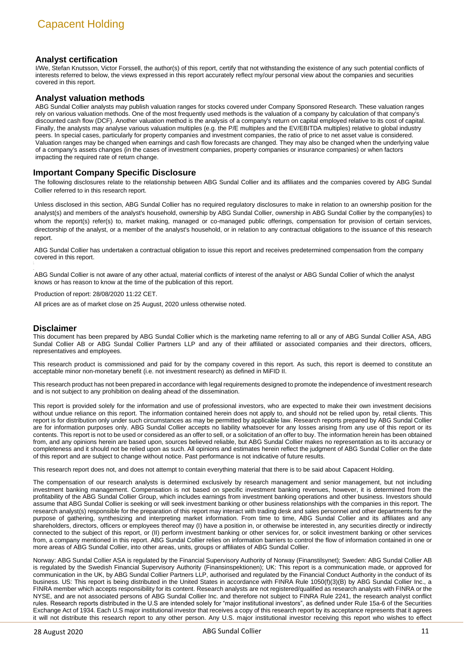#### **Analyst certification**

I/We, Stefan Knutsson, Victor Forssell, the author(s) of this report, certify that not withstanding the existence of any such potential conflicts of interests referred to below, the views expressed in this report accurately reflect my/our personal view about the companies and securities covered in this report.

#### **Analyst valuation methods**

ABG Sundal Collier analysts may publish valuation ranges for stocks covered under Company Sponsored Research. These valuation ranges rely on various valuation methods. One of the most frequently used methods is the valuation of a company by calculation of that company's discounted cash flow (DCF). Another valuation method is the analysis of a company's return on capital employed relative to its cost of capital. Finally, the analysts may analyse various valuation multiples (e.g. the P/E multiples and the EV/EBITDA multiples) relative to global industry peers. In special cases, particularly for property companies and investment companies, the ratio of price to net asset value is considered. Valuation ranges may be changed when earnings and cash flow forecasts are changed. They may also be changed when the underlying value of a company's assets changes (in the cases of investment companies, property companies or insurance companies) or when factors impacting the required rate of return change.

#### **Important Company Specific Disclosure**

The following disclosures relate to the relationship between ABG Sundal Collier and its affiliates and the companies covered by ABG Sundal Collier referred to in this research report.

Unless disclosed in this section, ABG Sundal Collier has no required regulatory disclosures to make in relation to an ownership position for the analyst(s) and members of the analyst's household, ownership by ABG Sundal Collier, ownership in ABG Sundal Collier by the company(ies) to whom the report(s) refer(s) to, market making, managed or co-managed public offerings, compensation for provision of certain services, directorship of the analyst, or a member of the analyst's household, or in relation to any contractual obligations to the issuance of this research report.

ABG Sundal Collier has undertaken a contractual obligation to issue this report and receives predetermined compensation from the company covered in this report.

ABG Sundal Collier is not aware of any other actual, material conflicts of interest of the analyst or ABG Sundal Collier of which the analyst knows or has reason to know at the time of the publication of this report.

Production of report: 28/08/2020 11:22 CET.

All prices are as of market close on 25 August, 2020 unless otherwise noted.

#### **Disclaimer**

This document has been prepared by ABG Sundal Collier which is the marketing name referring to all or any of ABG Sundal Collier ASA, ABG Sundal Collier AB or ABG Sundal Collier Partners LLP and any of their affiliated or associated companies and their directors, officers, representatives and employees.

This research product is commissioned and paid for by the company covered in this report. As such, this report is deemed to constitute an acceptable minor non-monetary benefit (i.e. not investment research) as defined in MiFID II.

This research product has not been prepared in accordance with legal requirements designed to promote the independence of investment research and is not subject to any prohibition on dealing ahead of the dissemination.

This report is provided solely for the information and use of professional investors, who are expected to make their own investment decisions without undue reliance on this report. The information contained herein does not apply to, and should not be relied upon by, retail clients. This report is for distribution only under such circumstances as may be permitted by applicable law. Research reports prepared by ABG Sundal Collier are for information purposes only. ABG Sundal Collier accepts no liability whatsoever for any losses arising from any use of this report or its contents. This report is not to be used or considered as an offer to sell, or a solicitation of an offer to buy. The information herein has been obtained from, and any opinions herein are based upon, sources believed reliable, but ABG Sundal Collier makes no representation as to its accuracy or completeness and it should not be relied upon as such. All opinions and estimates herein reflect the judgment of ABG Sundal Collier on the date of this report and are subject to change without notice. Past performance is not indicative of future results.

This research report does not, and does not attempt to contain everything material that there is to be said about Capacent Holding.

The compensation of our research analysts is determined exclusively by research management and senior management, but not including investment banking management. Compensation is not based on specific investment banking revenues, however, it is determined from the profitability of the ABG Sundal Collier Group, which includes earnings from investment banking operations and other business. Investors should assume that ABG Sundal Collier is seeking or will seek investment banking or other business relationships with the companies in this report. The research analyst(s) responsible for the preparation of this report may interact with trading desk and sales personnel and other departments for the purpose of gathering, synthesizing and interpreting market information. From time to time, ABG Sundal Collier and its affiliates and any shareholders, directors, officers or employees thereof may (I) have a position in, or otherwise be interested in, any securities directly or indirectly connected to the subject of this report, or (II) perform investment banking or other services for, or solicit investment banking or other services from, a company mentioned in this report. ABG Sundal Collier relies on information barriers to control the flow of information contained in one or more areas of ABG Sundal Collier, into other areas, units, groups or affiliates of ABG Sundal Collier.

Norway: ABG Sundal Collier ASA is regulated by the Financial Supervisory Authority of Norway (Finanstilsynet); Sweden: ABG Sundal Collier AB is regulated by the Swedish Financial Supervisory Authority (Finansinspektionen); UK: This report is a communication made, or approved for communication in the UK, by ABG Sundal Collier Partners LLP, authorised and regulated by the Financial Conduct Authority in the conduct of its business. US: This report is being distributed in the United States in accordance with FINRA Rule 1050(f)(3)(B) by ABG Sundal Collier Inc., a FINRA member which accepts responsibility for its content. Research analysts are not registered/qualified as research analysts with FINRA or the NYSE, and are not associated persons of ABG Sundal Collier Inc. and therefore not subject to FINRA Rule 2241, the research analyst conflict rules. Research reports distributed in the U.S are intended solely for "major institutional investors", as defined under Rule 15a-6 of the Securities Exchange Act of 1934. Each U.S major institutional investor that receives a copy of this research report by its acceptance represents that it agrees it will not distribute this research report to any other person. Any U.S. major institutional investor receiving this report who wishes to effect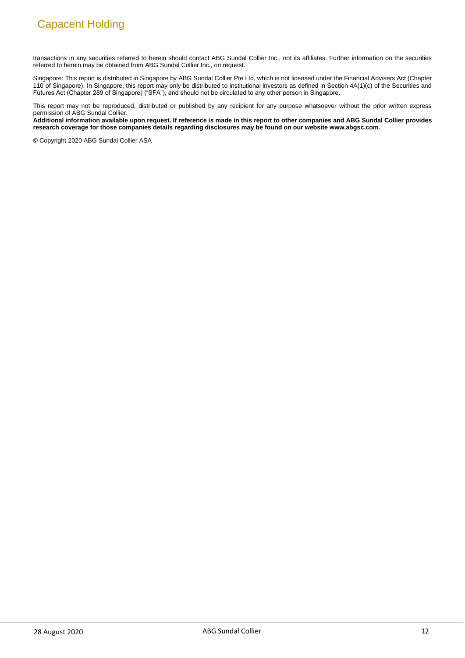transactions in any securities referred to herein should contact ABG Sundal Collier Inc., not its affiliates. Further information on the securities referred to herein may be obtained from ABG Sundal Collier Inc., on request.

Singapore: This report is distributed in Singapore by ABG Sundal Collier Pte Ltd, which is not licensed under the Financial Advisers Act (Chapter 110 of Singapore). In Singapore, this report may only be distributed to institutional investors as defined in Section 4A(1)(c) of the Securities and Futures Act (Chapter 289 of Singapore) ("SFA"), and should not be circulated to any other person in Singapore.

This report may not be reproduced, distributed or published by any recipient for any purpose whatsoever without the prior written express permission of ABG Sundal Collier.

**Additional information available upon request. If reference is made in this report to other companies and ABG Sundal Collier provides research coverage for those companies details regarding disclosures may be found on our website www.abgsc.com.**

© Copyright 2020 ABG Sundal Collier ASA